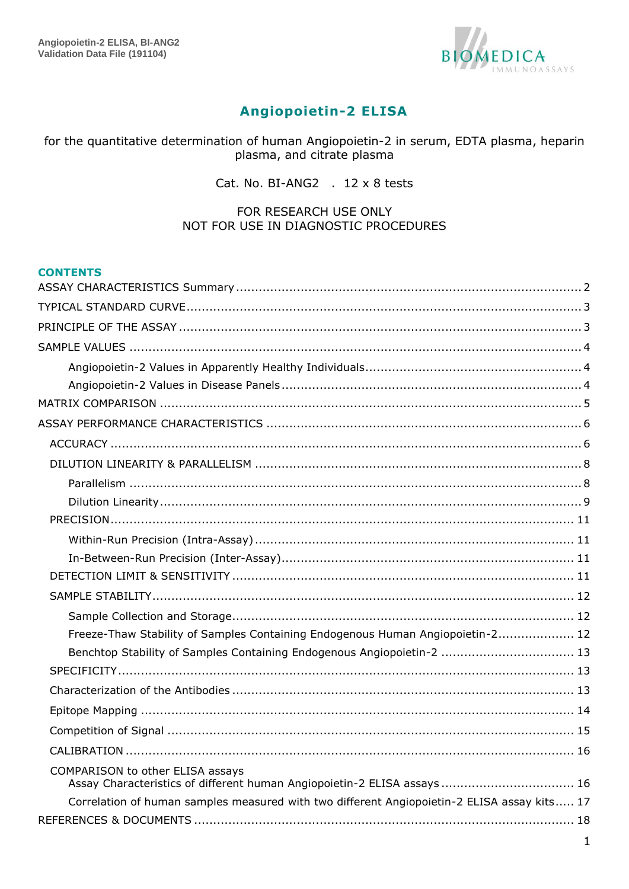

# **Angiopoietin-2 ELISA**

for the quantitative determination of human Angiopoietin-2 in serum, EDTA plasma, heparin plasma, and citrate plasma

Cat. No. BI-ANG2 . 12 x 8 tests

#### FOR RESEARCH USE ONLY NOT FOR USE IN DIAGNOSTIC PROCEDURES

#### **CONTENTS**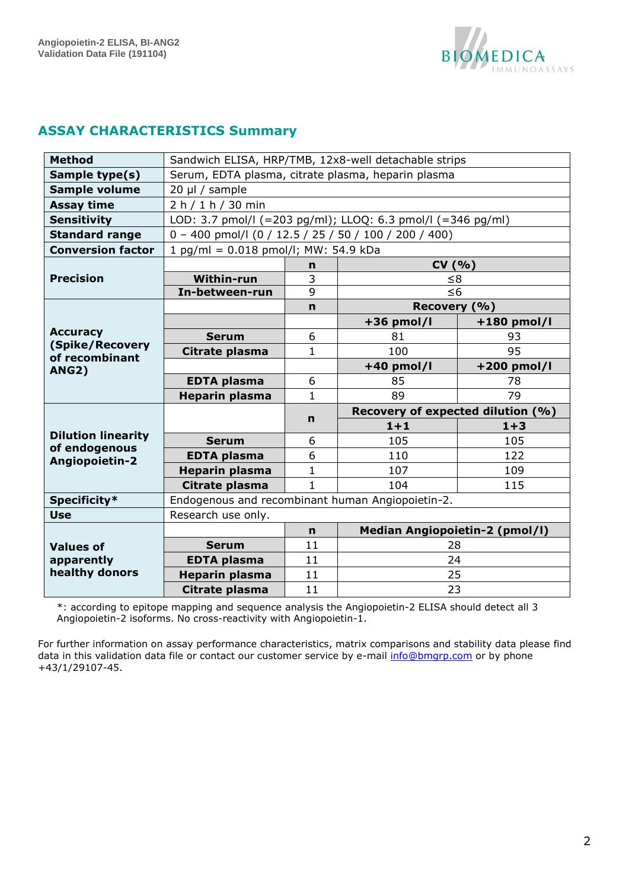

## <span id="page-1-0"></span>**ASSAY CHARACTERISTICS Summary**

| <b>Method</b>                                     | Sandwich ELISA, HRP/TMB, 12x8-well detachable strips    |              |                                                             |               |  |  |  |
|---------------------------------------------------|---------------------------------------------------------|--------------|-------------------------------------------------------------|---------------|--|--|--|
| Sample type(s)                                    |                                                         |              | Serum, EDTA plasma, citrate plasma, heparin plasma          |               |  |  |  |
| Sample volume                                     | 20 µl / sample                                          |              |                                                             |               |  |  |  |
| <b>Assay time</b>                                 | 2 h / 1 h / 30 min                                      |              |                                                             |               |  |  |  |
| <b>Sensitivity</b>                                |                                                         |              | LOD: 3.7 pmol/l (=203 pg/ml); LLOQ: 6.3 pmol/l (=346 pg/ml) |               |  |  |  |
| <b>Standard range</b>                             | $0 - 400$ pmol/l (0 / 12.5 / 25 / 50 / 100 / 200 / 400) |              |                                                             |               |  |  |  |
| <b>Conversion factor</b>                          | 1 pg/ml = 0.018 pmol/l; MW: 54.9 kDa                    |              |                                                             |               |  |  |  |
|                                                   | CV(% )<br>n                                             |              |                                                             |               |  |  |  |
| <b>Precision</b>                                  | Within-run                                              | $\leq 8$     |                                                             |               |  |  |  |
|                                                   | In-between-run                                          | 9            | $\leq 6$                                                    |               |  |  |  |
|                                                   |                                                         | Recovery (%) |                                                             |               |  |  |  |
|                                                   |                                                         |              | $+36$ pmol/l                                                | $+180$ pmol/l |  |  |  |
| <b>Accuracy</b>                                   | <b>Serum</b>                                            | 6            | 81                                                          | 93            |  |  |  |
| (Spike/Recovery<br>of recombinant<br><b>ANG2)</b> | Citrate plasma                                          | 1            | 100                                                         | 95            |  |  |  |
|                                                   |                                                         |              | $+40$ pmol/l                                                | +200 pmol/l   |  |  |  |
|                                                   | <b>EDTA plasma</b>                                      | 6            | 85                                                          | 78            |  |  |  |
|                                                   | <b>Heparin plasma</b>                                   | $\mathbf{1}$ | 89                                                          | 79            |  |  |  |
|                                                   |                                                         |              | Recovery of expected dilution (%)                           |               |  |  |  |
|                                                   |                                                         | n            | $1 + 1$                                                     | $1 + 3$       |  |  |  |
| <b>Dilution linearity</b>                         | <b>Serum</b>                                            | 6            | 105                                                         | 105           |  |  |  |
| of endogenous<br>Angiopoietin-2                   | <b>EDTA plasma</b>                                      | 6            | 110                                                         | 122           |  |  |  |
|                                                   | <b>Heparin plasma</b>                                   | 1            | 107                                                         | 109           |  |  |  |
|                                                   | Citrate plasma                                          | $\mathbf{1}$ | 104                                                         | 115           |  |  |  |
| Specificity*                                      | Endogenous and recombinant human Angiopoietin-2.        |              |                                                             |               |  |  |  |
| <b>Use</b>                                        | Research use only.                                      |              |                                                             |               |  |  |  |
|                                                   |                                                         | n            | Median Angiopoietin-2 (pmol/l)                              |               |  |  |  |
| <b>Values of</b>                                  | <b>Serum</b>                                            | 11           | 28                                                          |               |  |  |  |
| apparently                                        | <b>EDTA plasma</b>                                      | 11           | 24                                                          |               |  |  |  |
| healthy donors                                    | Heparin plasma                                          | 11           | 25                                                          |               |  |  |  |
|                                                   |                                                         |              | 23                                                          |               |  |  |  |

\*: according to epitope mapping and sequence analysis the Angiopoietin-2 ELISA should detect all 3 Angiopoietin-2 isoforms. No cross-reactivity with Angiopoietin-1.

For further information on assay performance characteristics, matrix comparisons and stability data please find data in this validation data file or contact our customer service by e-mail *info@bmgrp.com* or by phone +43/1/29107-45.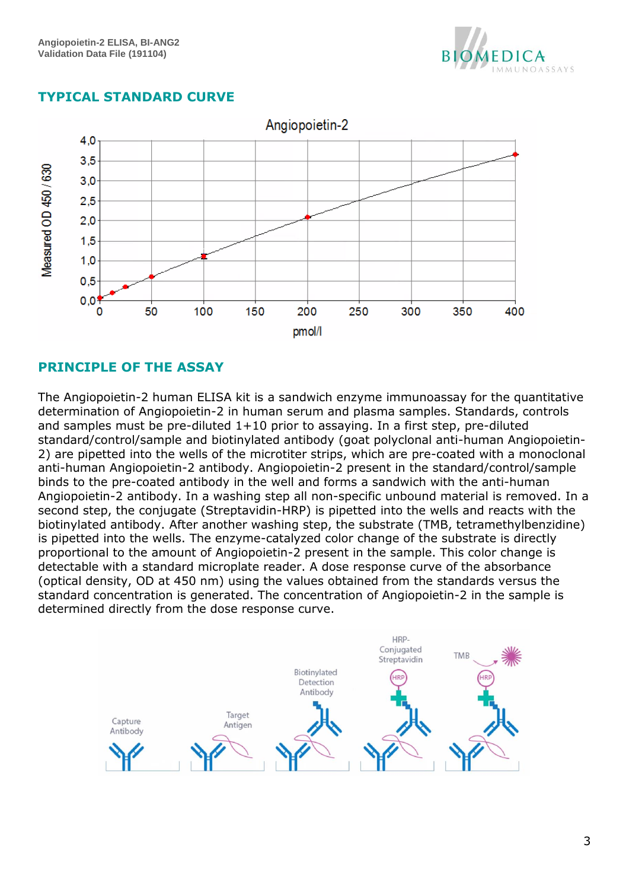

## <span id="page-2-0"></span>**TYPICAL STANDARD CURVE**



## <span id="page-2-1"></span>**PRINCIPLE OF THE ASSAY**

The Angiopoietin-2 human ELISA kit is a sandwich enzyme immunoassay for the quantitative determination of Angiopoietin-2 in human serum and plasma samples. Standards, controls and samples must be pre-diluted 1+10 prior to assaying. In a first step, pre-diluted standard/control/sample and biotinylated antibody (goat polyclonal anti-human Angiopoietin-2) are pipetted into the wells of the microtiter strips, which are pre-coated with a monoclonal anti-human Angiopoietin-2 antibody. Angiopoietin-2 present in the standard/control/sample binds to the pre-coated antibody in the well and forms a sandwich with the anti-human Angiopoietin-2 antibody. In a washing step all non-specific unbound material is removed. In a second step, the conjugate (Streptavidin-HRP) is pipetted into the wells and reacts with the biotinylated antibody. After another washing step, the substrate (TMB, tetramethylbenzidine) is pipetted into the wells. The enzyme-catalyzed color change of the substrate is directly proportional to the amount of Angiopoietin-2 present in the sample. This color change is detectable with a standard microplate reader. A dose response curve of the absorbance (optical density, OD at 450 nm) using the values obtained from the standards versus the standard concentration is generated. The concentration of Angiopoietin-2 in the sample is determined directly from the dose response curve.

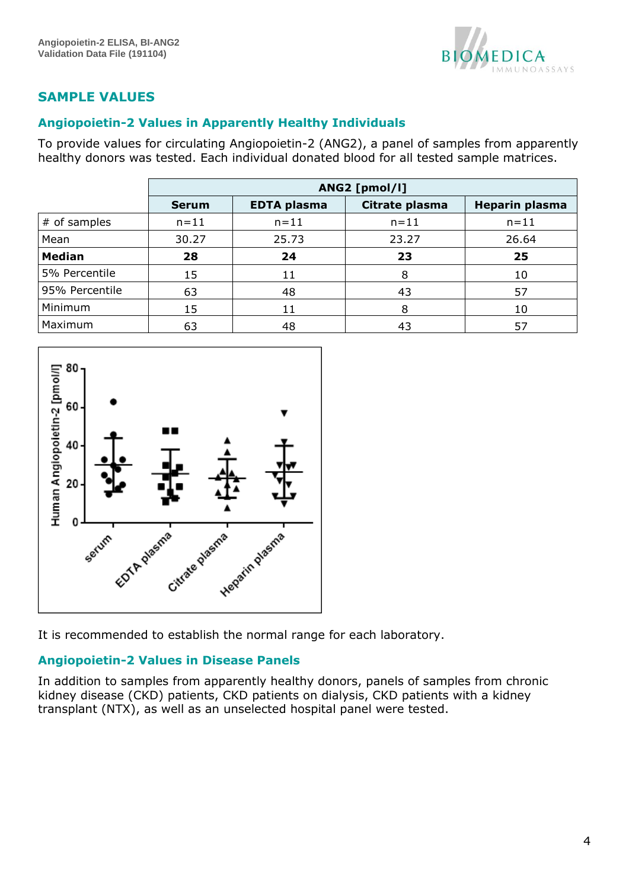

# <span id="page-3-0"></span>**SAMPLE VALUES**

### <span id="page-3-1"></span>**Angiopoietin-2 Values in Apparently Healthy Individuals**

To provide values for circulating Angiopoietin-2 (ANG2), a panel of samples from apparently healthy donors was tested. Each individual donated blood for all tested sample matrices.

|                | ANG2 [pmol/l] |                    |                |                       |  |
|----------------|---------------|--------------------|----------------|-----------------------|--|
|                | <b>Serum</b>  | <b>EDTA plasma</b> | Citrate plasma | <b>Heparin plasma</b> |  |
| # of samples   | $n = 11$      | $n = 11$           | $n = 11$       | $n = 11$              |  |
| Mean           | 30.27         | 25.73              | 23.27          | 26.64                 |  |
| <b>Median</b>  | 28            | 24                 | 23             | 25                    |  |
| 5% Percentile  | 15            | 11                 | 8              | 10                    |  |
| 95% Percentile | 63            | 48                 | 43             | 57                    |  |
| Minimum        | 15            | 11                 | 8              | 10                    |  |
| Maximum        | 63            | 48                 | 43             | 57                    |  |



It is recommended to establish the normal range for each laboratory.

## <span id="page-3-2"></span>**Angiopoietin-2 Values in Disease Panels**

In addition to samples from apparently healthy donors, panels of samples from chronic kidney disease (CKD) patients, CKD patients on dialysis, CKD patients with a kidney transplant (NTX), as well as an unselected hospital panel were tested.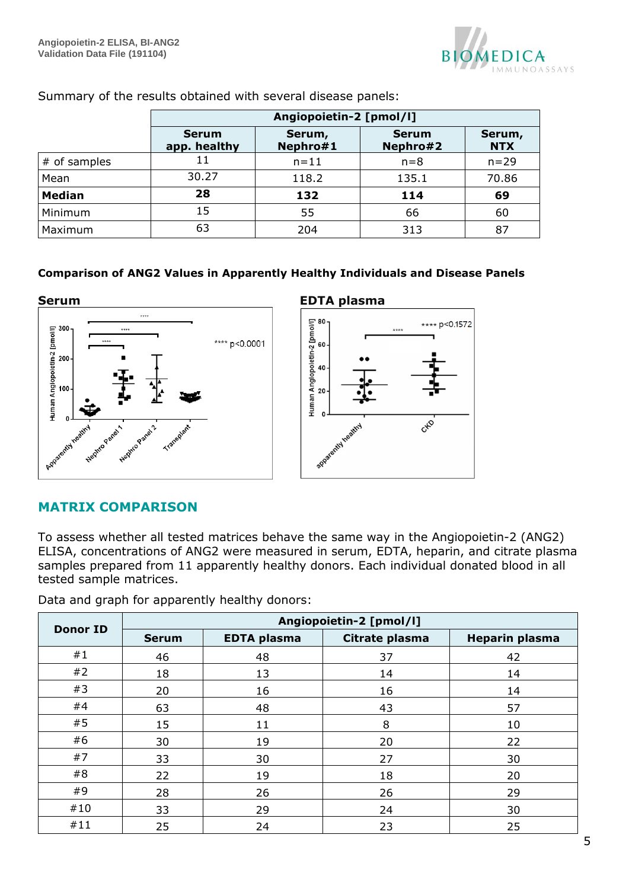

|               | Angiopoietin-2 [pmol/l]      |                    |                          |                      |  |  |  |
|---------------|------------------------------|--------------------|--------------------------|----------------------|--|--|--|
|               | <b>Serum</b><br>app. healthy | Serum,<br>Nephro#1 | <b>Serum</b><br>Nephro#2 | Serum,<br><b>NTX</b> |  |  |  |
| # of samples  | 11                           | $n = 11$           | $n=8$                    | $n = 29$             |  |  |  |
| Mean          | 30.27                        | 118.2              | 135.1                    | 70.86                |  |  |  |
| <b>Median</b> | 28                           | 132                | 114                      | 69                   |  |  |  |
| Minimum       | 15                           | 55                 | 66                       | 60                   |  |  |  |
| Maximum       | 63                           | 204                | 313                      | 87                   |  |  |  |

Summary of the results obtained with several disease panels:

### **Comparison of ANG2 Values in Apparently Healthy Individuals and Disease Panels**



## <span id="page-4-0"></span>**MATRIX COMPARISON**

To assess whether all tested matrices behave the same way in the Angiopoietin-2 (ANG2) ELISA, concentrations of ANG2 were measured in serum, EDTA, heparin, and citrate plasma samples prepared from 11 apparently healthy donors. Each individual donated blood in all tested sample matrices.

Data and graph for apparently healthy donors:

| <b>Donor ID</b> | Angiopoietin-2 [pmol/l] |                    |                |                       |  |  |  |
|-----------------|-------------------------|--------------------|----------------|-----------------------|--|--|--|
|                 | <b>Serum</b>            | <b>EDTA plasma</b> | Citrate plasma | <b>Heparin plasma</b> |  |  |  |
| #1              | 46                      | 48                 | 37             | 42                    |  |  |  |
| #2              | 18                      | 13                 | 14             | 14                    |  |  |  |
| #3              | 20                      | 16                 | 16             | 14                    |  |  |  |
| #4              | 63                      | 48                 | 43             | 57                    |  |  |  |
| #5              | 15                      | 11                 | 8              | 10                    |  |  |  |
| #6              | 30                      | 19                 | 20             | 22                    |  |  |  |
| #7              | 33                      | 30                 | 27             | 30                    |  |  |  |
| #8              | 22                      | 19                 | 18             | 20                    |  |  |  |
| #9              | 28                      | 26                 | 26             | 29                    |  |  |  |
| #10             | 33                      | 29                 | 24             | 30                    |  |  |  |
| #11             | 25                      | 24                 | 23             | 25                    |  |  |  |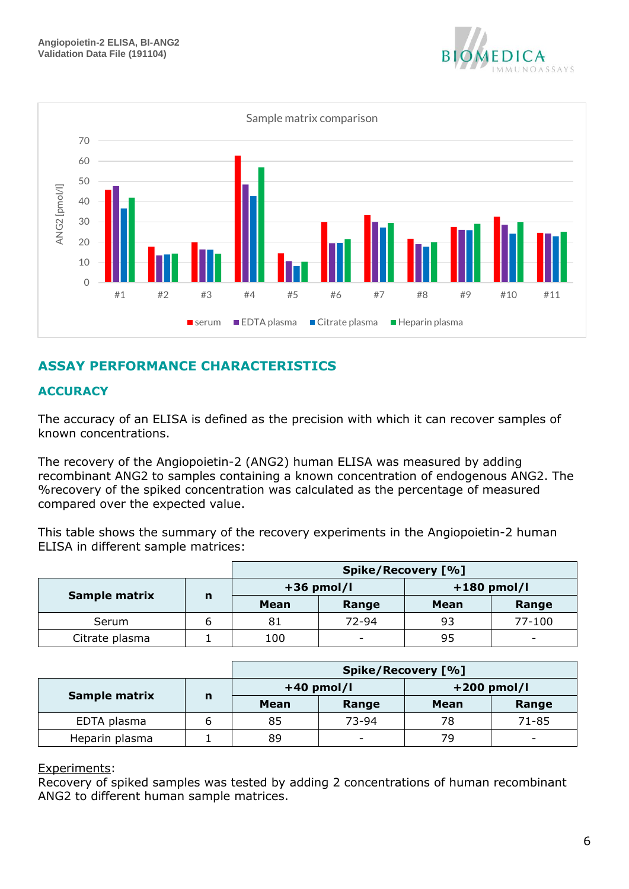



# <span id="page-5-0"></span>**ASSAY PERFORMANCE CHARACTERISTICS**

## <span id="page-5-1"></span>**ACCURACY**

The accuracy of an ELISA is defined as the precision with which it can recover samples of known concentrations.

The recovery of the Angiopoietin-2 (ANG2) human ELISA was measured by adding recombinant ANG2 to samples containing a known concentration of endogenous ANG2. The %recovery of the spiked concentration was calculated as the percentage of measured compared over the expected value.

This table shows the summary of the recovery experiments in the Angiopoietin-2 human ELISA in different sample matrices:

|                |   | Spike/Recovery [%] |                          |               |                          |
|----------------|---|--------------------|--------------------------|---------------|--------------------------|
|                |   | $+36$ pmol/l       |                          | $+180$ pmol/l |                          |
| Sample matrix  | n | Mean               | Range                    | Mean          | Range                    |
| Serum          |   | 81                 | $72 - 94$                | 93            | $77 - 100$               |
| Citrate plasma |   | 100                | $\overline{\phantom{0}}$ | 95            | $\overline{\phantom{a}}$ |

|                |             |              | Spike/Recovery [%]       |      |                          |
|----------------|-------------|--------------|--------------------------|------|--------------------------|
|                |             | $+40$ pmol/l |                          |      | $+200$ pmol/l            |
| Sample matrix  | $\mathbf n$ | Mean         | Range                    | Mean | Range                    |
| EDTA plasma    | b           | 85           | 73-94                    | 78   | 71-85                    |
| Heparin plasma |             | 89           | $\overline{\phantom{0}}$ | 79   | $\overline{\phantom{a}}$ |

#### Experiments:

Recovery of spiked samples was tested by adding 2 concentrations of human recombinant ANG2 to different human sample matrices.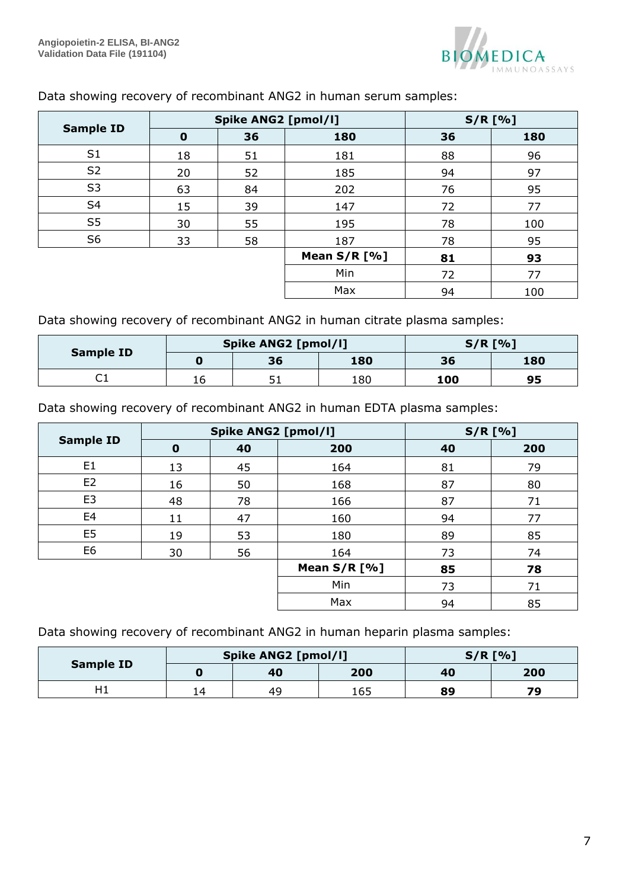

Max | 94 | 100

|                  | <b>Spike ANG2 [pmol/l]</b> |    |              | $S/R$ [%] |     |
|------------------|----------------------------|----|--------------|-----------|-----|
| <b>Sample ID</b> | $\mathbf 0$                | 36 | 180          | 36        | 180 |
| S <sub>1</sub>   | 18                         | 51 | 181          | 88        | 96  |
| S <sub>2</sub>   | 20                         | 52 | 185          | 94        | 97  |
| S <sub>3</sub>   | 63                         | 84 | 202          | 76        | 95  |
| S <sub>4</sub>   | 15                         | 39 | 147          | 72        | 77  |
| S <sub>5</sub>   | 30                         | 55 | 195          | 78        | 100 |
| S <sub>6</sub>   | 33                         | 58 | 187          | 78        | 95  |
|                  |                            |    | Mean S/R [%] | 81        | 93  |
|                  |                            |    | Min          | 72        | 77  |
|                  |                            |    |              |           |     |

## Data showing recovery of recombinant ANG2 in human serum samples:

Data showing recovery of recombinant ANG2 in human citrate plasma samples:

| <b>Sample ID</b> | <b>Spike ANG2 [pmol/l]</b> |    |     | $S/R$ [%] |     |
|------------------|----------------------------|----|-----|-----------|-----|
|                  | O                          | 36 | 180 | 36        | 180 |
| <b>-</b><br>◡    | 16                         | п. | 180 | 100       | 95  |

Data showing recovery of recombinant ANG2 in human EDTA plasma samples:

|                  |          | <b>Spike ANG2 [pmol/l]</b> | $S/R$ [%] |    |     |
|------------------|----------|----------------------------|-----------|----|-----|
| <b>Sample ID</b> | $\bf{0}$ | 40                         | 200       | 40 | 200 |
| E <sub>1</sub>   | 13       | 45                         | 164       | 81 | 79  |
| E <sub>2</sub>   | 16       | 50                         | 168       | 87 | 80  |
| E <sub>3</sub>   | 48       | 78                         | 166       | 87 | 71  |
| E <sub>4</sub>   | 11       | 47                         | 160       | 94 | 77  |
| E <sub>5</sub>   | 19       | 53                         | 180       | 89 | 85  |
| E <sub>6</sub>   | 30       | 56                         | 164       | 73 | 74  |
|                  |          | Mean $S/R$ [%]             | 85        | 78 |     |
|                  |          |                            | Min       | 73 | 71  |
|                  |          |                            | Max       | 94 | 85  |

Data showing recovery of recombinant ANG2 in human heparin plasma samples:

| <b>Sample ID</b> | Spike ANG2 [pmol/l] |    |     | $S/R$ [%] |     |
|------------------|---------------------|----|-----|-----------|-----|
|                  | O                   | 40 | 200 | 40        | 200 |
| Η1               | 14                  | 49 | 165 | 89        | 70  |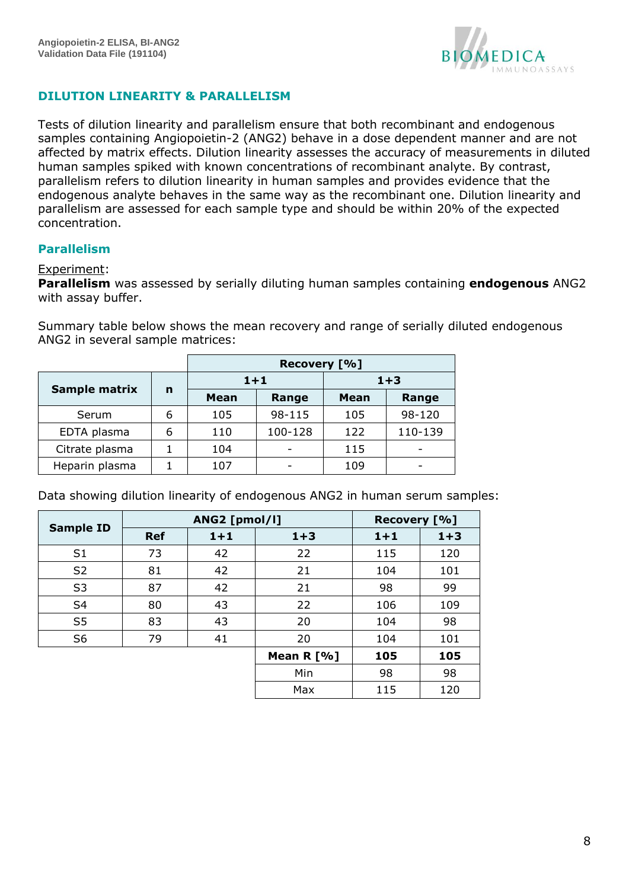

## <span id="page-7-0"></span>**DILUTION LINEARITY & PARALLELISM**

Tests of dilution linearity and parallelism ensure that both recombinant and endogenous samples containing Angiopoietin-2 (ANG2) behave in a dose dependent manner and are not affected by matrix effects. Dilution linearity assesses the accuracy of measurements in diluted human samples spiked with known concentrations of recombinant analyte. By contrast, parallelism refers to dilution linearity in human samples and provides evidence that the endogenous analyte behaves in the same way as the recombinant one. Dilution linearity and parallelism are assessed for each sample type and should be within 20% of the expected concentration.

### <span id="page-7-1"></span>**Parallelism**

#### Experiment:

**Parallelism** was assessed by serially diluting human samples containing **endogenous** ANG2 with assay buffer.

Summary table below shows the mean recovery and range of serially diluted endogenous ANG2 in several sample matrices:

|                |   | Recovery [%] |         |         |         |  |
|----------------|---|--------------|---------|---------|---------|--|
|                |   | $1+1$        |         | $1 + 3$ |         |  |
| Sample matrix  | n | <b>Mean</b>  | Range   | Mean    | Range   |  |
| Serum          | 6 | 105          | 98-115  | 105     | 98-120  |  |
| EDTA plasma    | 6 | 110          | 100-128 | 122     | 110-139 |  |
| Citrate plasma |   | 104          |         | 115     |         |  |
| Heparin plasma |   | 107          |         | 109     |         |  |

Data showing dilution linearity of endogenous ANG2 in human serum samples:

| <b>Sample ID</b> |            | ANG2 [pmol/l] |              | Recovery [%] |         |
|------------------|------------|---------------|--------------|--------------|---------|
|                  | <b>Ref</b> | $1 + 1$       | $1 + 3$      | $1 + 1$      | $1 + 3$ |
| S <sub>1</sub>   | 73         | 42            | 22           | 115          | 120     |
| S <sub>2</sub>   | 81         | 42            | 21           | 104          | 101     |
| S <sub>3</sub>   | 87         | 42            | 21           | 98           | 99      |
| S <sub>4</sub>   | 80         | 43            | 22           | 106          | 109     |
| S <sub>5</sub>   | 83         | 43            | 20           | 104          | 98      |
| S <sub>6</sub>   | 79         | 41            | 20           | 104          | 101     |
|                  |            |               | Mean $R$ [%] | 105          | 105     |
|                  |            |               | Min          | 98           | 98      |
|                  |            |               | Max          | 115          | 120     |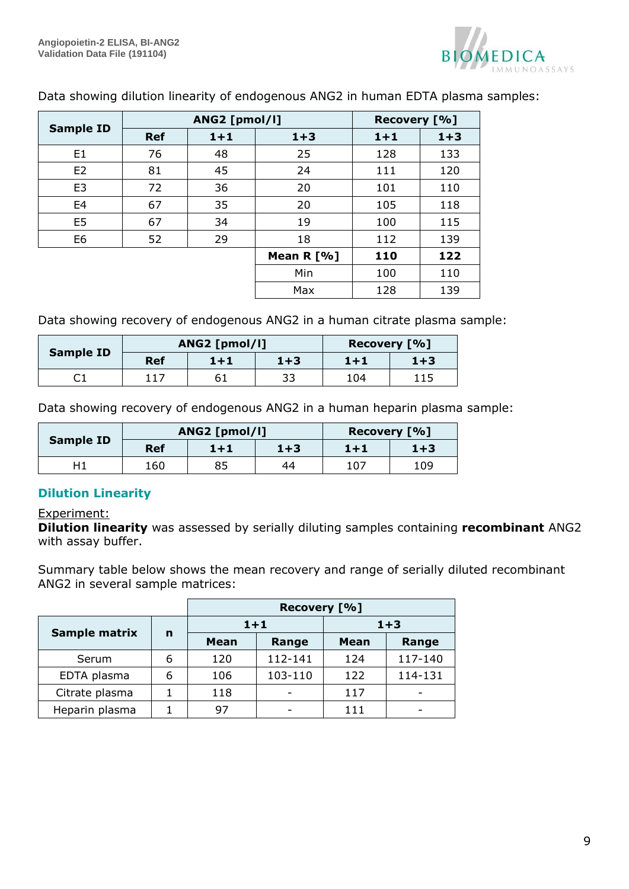

|                  |            | ANG2 [pmol/l] |              | Recovery [%] |       |
|------------------|------------|---------------|--------------|--------------|-------|
| <b>Sample ID</b> | <b>Ref</b> | $1 + 1$       | $1 + 3$      | $1+1$        | $1+3$ |
| E <sub>1</sub>   | 76         | 48            | 25           | 128          | 133   |
| E <sub>2</sub>   | 81         | 45            | 24           | 111          | 120   |
| E <sub>3</sub>   | 72         | 36            | 20           | 101          | 110   |
| E <sub>4</sub>   | 67         | 35            | 20           | 105          | 118   |
| E <sub>5</sub>   | 67         | 34            | 19           | 100          | 115   |
| E <sub>6</sub>   | 52         | 29            | 18           | 112          | 139   |
|                  |            |               | Mean $R$ [%] | 110          | 122   |
|                  |            |               | Min          | 100          | 110   |
|                  |            |               | Max          | 128          | 139   |

Data showing dilution linearity of endogenous ANG2 in human EDTA plasma samples:

Data showing recovery of endogenous ANG2 in a human citrate plasma sample:

|                  | ANG2 [pmol/l] |       |       | Recovery [%] |         |
|------------------|---------------|-------|-------|--------------|---------|
| <b>Sample ID</b> | <b>Ref</b>    | $1+1$ | $1+3$ | $1 + 1$      | $1 + 3$ |
|                  | 117           | 61    | 33    | 104          | 115     |

Data showing recovery of endogenous ANG2 in a human heparin plasma sample:

|                  | ANG2 [pmol/l] |         |         | Recovery [%] |         |
|------------------|---------------|---------|---------|--------------|---------|
| <b>Sample ID</b> | <b>Ref</b>    | $1 + 1$ | $1 + 3$ | $1 + 1$      | $1 + 3$ |
|                  | 160           | 85      | 44      | 107          | 109     |

## <span id="page-8-0"></span>**Dilution Linearity**

#### Experiment:

**Dilution linearity** was assessed by serially diluting samples containing **recombinant** ANG2 with assay buffer.

Summary table below shows the mean recovery and range of serially diluted recombinant ANG2 in several sample matrices:

|                |   | Recovery [%] |         |             |         |  |
|----------------|---|--------------|---------|-------------|---------|--|
|                |   | $1 + 1$      |         | $1 + 3$     |         |  |
| Sample matrix  | n | <b>Mean</b>  | Range   | <b>Mean</b> | Range   |  |
| Serum          | 6 | 120          | 112-141 | 124         | 117-140 |  |
| EDTA plasma    | 6 | 106          | 103-110 | 122         | 114-131 |  |
| Citrate plasma |   | 118          |         | 117         |         |  |
| Heparin plasma |   | 97           |         | 111         |         |  |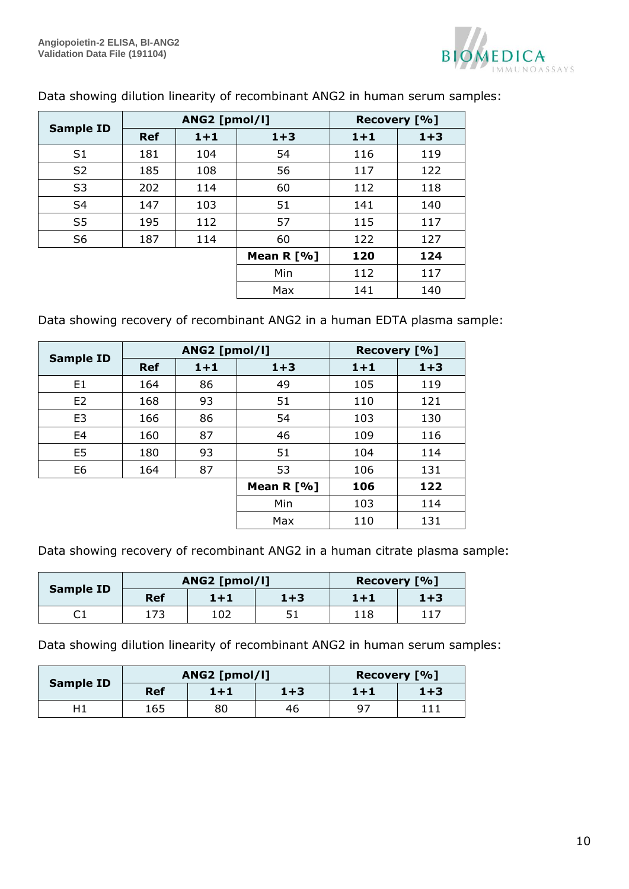

|                  |            | ANG2 [pmol/l] |              | Recovery [%] |         |
|------------------|------------|---------------|--------------|--------------|---------|
| <b>Sample ID</b> | <b>Ref</b> | $1 + 1$       | $1 + 3$      | $1 + 1$      | $1 + 3$ |
| S <sub>1</sub>   | 181        | 104           | 54           | 116          | 119     |
| S <sub>2</sub>   | 185        | 108           | 56           | 117          | 122     |
| S <sub>3</sub>   | 202        | 114           | 60           | 112          | 118     |
| S <sub>4</sub>   | 147        | 103           | 51           | 141          | 140     |
| S <sub>5</sub>   | 195        | 112           | 57           | 115          | 117     |
| S <sub>6</sub>   | 187        | 114           | 60           | 122          | 127     |
|                  |            |               | Mean $R$ [%] | 120          | 124     |
|                  |            |               | Min          | 112          | 117     |
|                  |            |               | Max          | 141          | 140     |

Data showing dilution linearity of recombinant ANG2 in human serum samples:

Data showing recovery of recombinant ANG2 in a human EDTA plasma sample:

|                  | ANG2 [pmol/l] |         |              | Recovery [%] |         |
|------------------|---------------|---------|--------------|--------------|---------|
| <b>Sample ID</b> | <b>Ref</b>    | $1 + 1$ | $1 + 3$      | $1 + 1$      | $1 + 3$ |
| E1               | 164           | 86      | 49           | 105          | 119     |
| E2               | 168           | 93      | 51           | 110          | 121     |
| E <sub>3</sub>   | 166           | 86      | 54           | 103          | 130     |
| E <sub>4</sub>   | 160           | 87      | 46           | 109          | 116     |
| E <sub>5</sub>   | 180           | 93      | 51           | 104          | 114     |
| E <sub>6</sub>   | 164           | 87      | 53           | 106          | 131     |
|                  |               |         | Mean $R$ [%] | 106          | 122     |
|                  |               |         | Min          | 103          | 114     |
|                  |               |         | Max          | 110          | 131     |

Data showing recovery of recombinant ANG2 in a human citrate plasma sample:

|                  |     | ANG2 [pmol/l] |         | Recovery [%] |     |
|------------------|-----|---------------|---------|--------------|-----|
| <b>Sample ID</b> | Ref | $1+1$         | $1 + 3$ | 1+1          | 1+3 |
|                  | 173 | 102           | 51      | 118          | 117 |

Data showing dilution linearity of recombinant ANG2 in human serum samples:

|                  | ANG2 [pmol/l] |       |         | Recovery [%] |         |
|------------------|---------------|-------|---------|--------------|---------|
| <b>Sample ID</b> | <b>Ref</b>    | $1+1$ | $1 + 3$ | 1+1          | $1 + 3$ |
| H1               | 165           | 80    | 46      | 97           |         |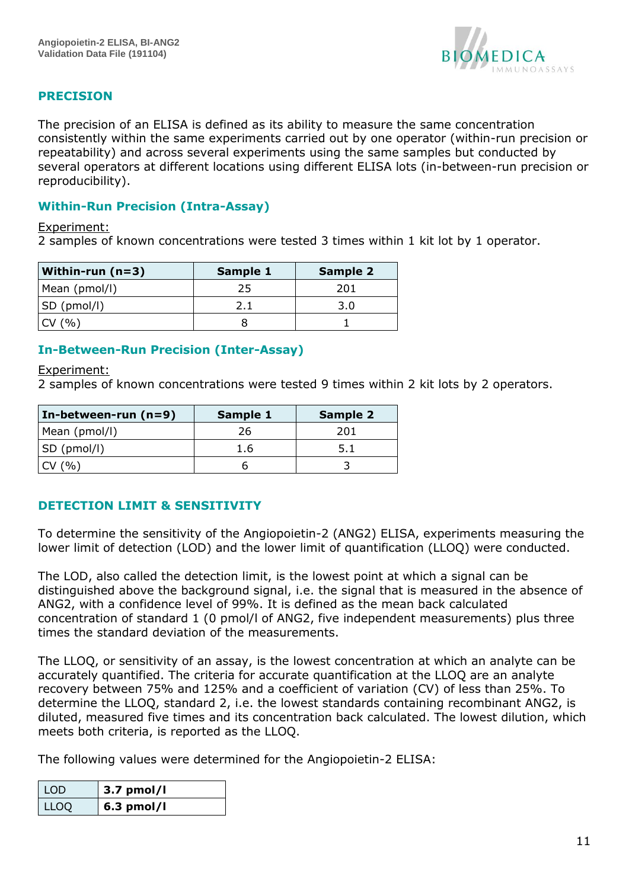

## <span id="page-10-0"></span>**PRECISION**

The precision of an ELISA is defined as its ability to measure the same concentration consistently within the same experiments carried out by one operator (within-run precision or repeatability) and across several experiments using the same samples but conducted by several operators at different locations using different ELISA lots (in-between-run precision or reproducibility).

### <span id="page-10-1"></span>**Within-Run Precision (Intra-Assay)**

#### Experiment:

2 samples of known concentrations were tested 3 times within 1 kit lot by 1 operator.

| Within-run (n=3) | Sample 1 | Sample 2 |
|------------------|----------|----------|
| Mean (pmol/l)    | 25       | 201      |
| SD (pmol/l)      |          | 3.0      |
| $\gamma_0$       |          |          |

### <span id="page-10-2"></span>**In-Between-Run Precision (Inter-Assay)**

#### Experiment:

2 samples of known concentrations were tested 9 times within 2 kit lots by 2 operators.

| In-between-run $(n=9)$ | Sample 1 | <b>Sample 2</b> |
|------------------------|----------|-----------------|
| Mean (pmol/l)          | 26       | 201             |
| SD (pmol/l)            | 1.6      |                 |
| CV(%)                  |          |                 |

### <span id="page-10-3"></span>**DETECTION LIMIT & SENSITIVITY**

To determine the sensitivity of the Angiopoietin-2 (ANG2) ELISA, experiments measuring the lower limit of detection (LOD) and the lower limit of quantification (LLOQ) were conducted.

The LOD, also called the detection limit, is the lowest point at which a signal can be distinguished above the background signal, i.e. the signal that is measured in the absence of ANG2, with a confidence level of 99%. It is defined as the mean back calculated concentration of standard 1 (0 pmol/l of ANG2, five independent measurements) plus three times the standard deviation of the measurements.

The LLOQ, or sensitivity of an assay, is the lowest concentration at which an analyte can be accurately quantified. The criteria for accurate quantification at the LLOQ are an analyte recovery between 75% and 125% and a coefficient of variation (CV) of less than 25%. To determine the LLOQ, standard 2, i.e. the lowest standards containing recombinant ANG2, is diluted, measured five times and its concentration back calculated. The lowest dilution, which meets both criteria, is reported as the LLOQ.

The following values were determined for the Angiopoietin-2 ELISA:

| LOD  | $3.7$ pmol/l |
|------|--------------|
| LLOQ | $6.3$ pmol/l |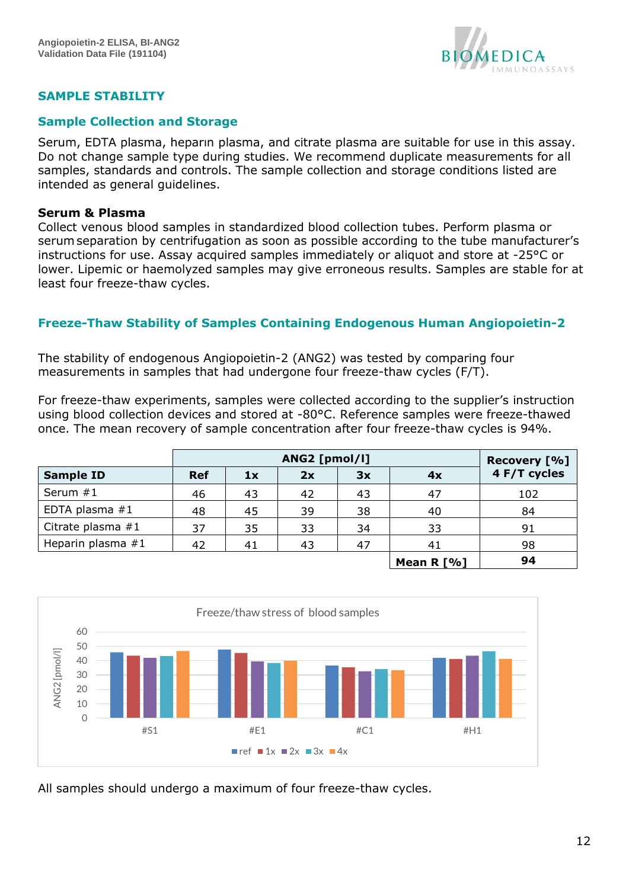

## <span id="page-11-0"></span>**SAMPLE STABILITY**

### <span id="page-11-1"></span>**Sample Collection and Storage**

Serum, EDTA plasma, heparın plasma, and citrate plasma are suitable for use in this assay. Do not change sample type during studies. We recommend duplicate measurements for all samples, standards and controls. The sample collection and storage conditions listed are intended as general guidelines.

#### **Serum & Plasma**

Collect venous blood samples in standardized blood collection tubes. Perform plasma or serumseparation by centrifugation as soon as possible according to the tube manufacturer's instructions for use. Assay acquired samples immediately or aliquot and store at -25°C or lower. Lipemic or haemolyzed samples may give erroneous results. Samples are stable for at least four freeze-thaw cycles.

### <span id="page-11-2"></span>**Freeze-Thaw Stability of Samples Containing Endogenous Human Angiopoietin-2**

The stability of endogenous Angiopoietin-2 (ANG2) was tested by comparing four measurements in samples that had undergone four freeze-thaw cycles (F/T).

For freeze-thaw experiments, samples were collected according to the supplier's instruction using blood collection devices and stored at -80°C. Reference samples were freeze-thawed once. The mean recovery of sample concentration after four freeze-thaw cycles is 94%.

|                     | ANG2 [pmol/l] |    |    |    | Recovery [%] |              |
|---------------------|---------------|----|----|----|--------------|--------------|
| <b>Sample ID</b>    | <b>Ref</b>    | 1x | 2x | 3x | 4x           | 4 F/T cycles |
| Serum #1            | 46            | 43 | 42 | 43 | 47           | 102          |
| EDTA plasma #1      | 48            | 45 | 39 | 38 | 40           | 84           |
| Citrate plasma #1   | 37            | 35 | 33 | 34 | 33           | 91           |
| Heparin plasma $#1$ | 42            | 41 | 43 | 47 | 41           | 98           |
|                     |               |    |    |    | Mean R $[%]$ | 94           |



All samples should undergo a maximum of four freeze-thaw cycles.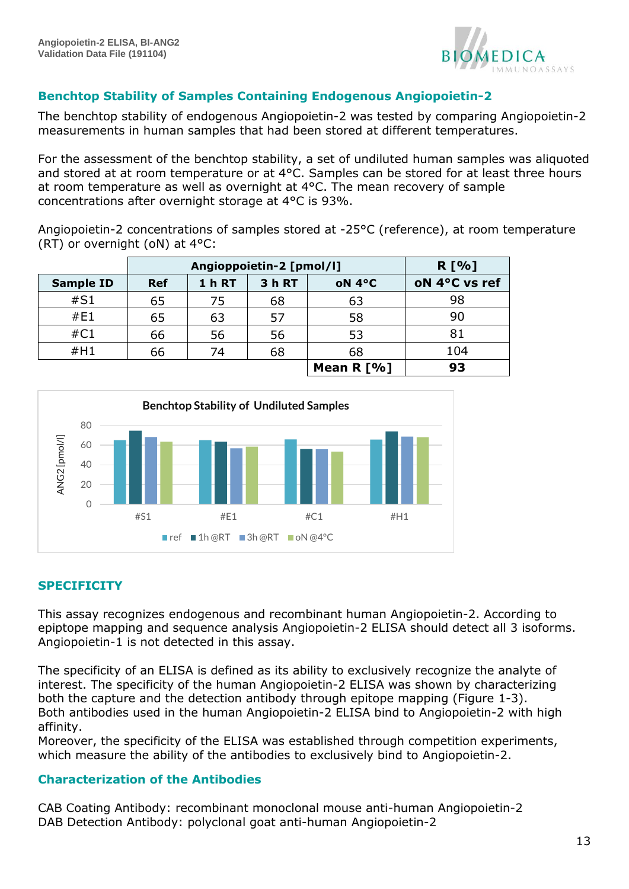

## <span id="page-12-0"></span>**Benchtop Stability of Samples Containing Endogenous Angiopoietin-2**

The benchtop stability of endogenous Angiopoietin-2 was tested by comparing Angiopoietin-2 measurements in human samples that had been stored at different temperatures.

For the assessment of the benchtop stability, a set of undiluted human samples was aliquoted and stored at at room temperature or at 4°C. Samples can be stored for at least three hours at room temperature as well as overnight at 4°C. The mean recovery of sample concentrations after overnight storage at 4°C is 93%.

Angiopoietin-2 concentrations of samples stored at -25°C (reference), at room temperature (RT) or overnight (oN) at 4°C:

|                  | Angioppoietin-2 [pmol/l] |               |        |              | R[%]          |
|------------------|--------------------------|---------------|--------|--------------|---------------|
| <b>Sample ID</b> | <b>Ref</b>               | <b>1 h RT</b> | 3 h RT | oN 4°C       | oN 4°C vs ref |
| #S1              | 65                       | 75            | 68     | 63           | 98            |
| #E1              | 65                       | 63            | 57     | 58           | 90            |
| #C1              | 66                       | 56            | 56     | 53           | 81            |
| #H1              | 66                       | 74            | 68     | 68           | 104           |
|                  |                          |               |        | Mean $R$ [%] | 93            |



### <span id="page-12-1"></span>**SPECIFICITY**

This assay recognizes endogenous and recombinant human Angiopoietin-2. According to epiptope mapping and sequence analysis Angiopoietin-2 ELISA should detect all 3 isoforms. Angiopoietin-1 is not detected in this assay.

The specificity of an ELISA is defined as its ability to exclusively recognize the analyte of interest. The specificity of the human Angiopoietin-2 ELISA was shown by characterizing both the capture and the detection antibody through epitope mapping (Figure 1-3). Both antibodies used in the human Angiopoietin-2 ELISA bind to Angiopoietin-2 with high affinity.

Moreover, the specificity of the ELISA was established through competition experiments, which measure the ability of the antibodies to exclusively bind to Angiopoietin-2.

### <span id="page-12-2"></span>**Characterization of the Antibodies**

CAB Coating Antibody: recombinant monoclonal mouse anti-human Angiopoietin-2 DAB Detection Antibody: polyclonal goat anti-human Angiopoietin-2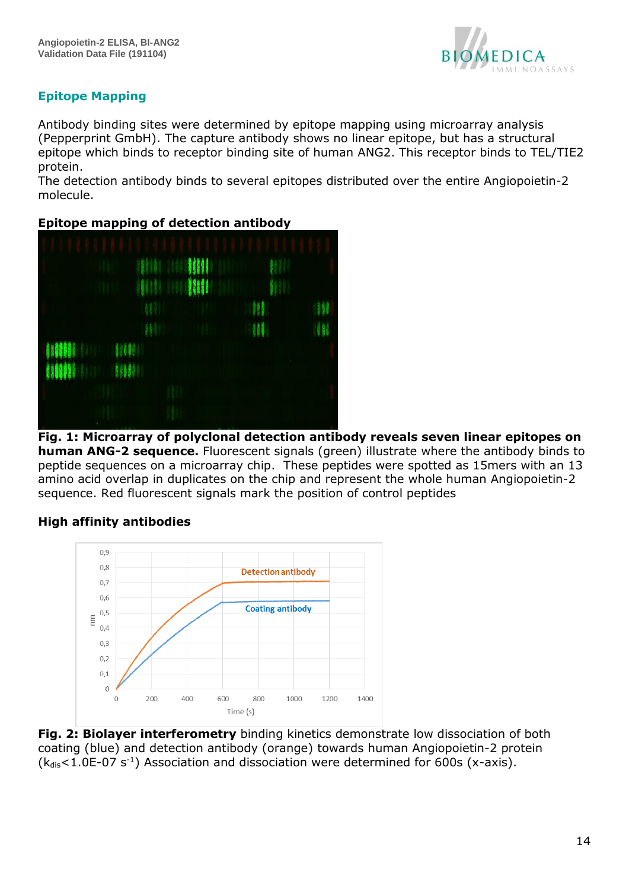

# <span id="page-13-0"></span>**Epitope Mapping**

Antibody binding sites were determined by epitope mapping using microarray analysis (Pepperprint GmbH). The capture antibody shows no linear epitope, but has a structural epitope which binds to receptor binding site of human ANG2. This receptor binds to TEL/TIE2 protein.

The detection antibody binds to several epitopes distributed over the entire Angiopoietin-2 molecule.

## **Epitope mapping of detection antibody**



**Fig. 1: Microarray of polyclonal detection antibody reveals seven linear epitopes on human ANG-2 sequence.** Fluorescent signals (green) illustrate where the antibody binds to peptide sequences on a microarray chip. These peptides were spotted as 15mers with an 13 amino acid overlap in duplicates on the chip and represent the whole human Angiopoietin-2 sequence. Red fluorescent signals mark the position of control peptides

## **High affinity antibodies**



**Fig. 2: Biolayer interferometry** binding kinetics demonstrate low dissociation of both coating (blue) and detection antibody (orange) towards human Angiopoietin-2 protein  $(k_{dis} < 1.0E-07 s^{-1})$  Association and dissociation were determined for 600s (x-axis).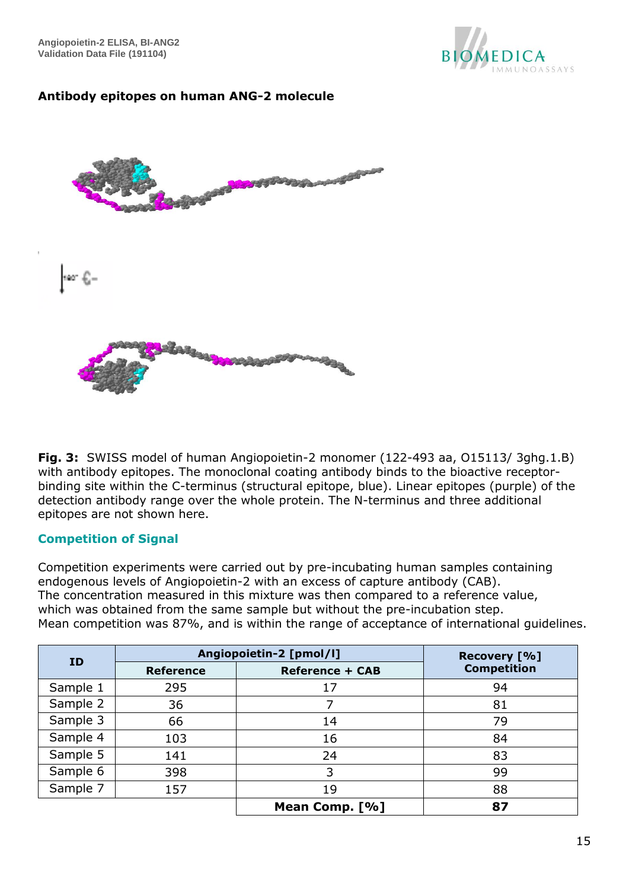**Angiopoietin-2 ELISA, BI-ANG2 Validation Data File (191104)** 



## **Antibody epitopes on human ANG-2 molecule**



**Fig. 3:** SWISS model of human Angiopoietin-2 monomer (122-493 aa, O15113/ 3ghg.1.B) with antibody epitopes. The monoclonal coating antibody binds to the bioactive receptorbinding site within the C-terminus (structural epitope, blue). Linear epitopes (purple) of the detection antibody range over the whole protein. The N-terminus and three additional epitopes are not shown here.

#### <span id="page-14-0"></span>**Competition of Signal**

Competition experiments were carried out by pre-incubating human samples containing endogenous levels of Angiopoietin-2 with an excess of capture antibody (CAB). The concentration measured in this mixture was then compared to a reference value, which was obtained from the same sample but without the pre-incubation step. Mean competition was 87%, and is within the range of acceptance of international guidelines.

| <b>ID</b> | Angiopoietin-2 [pmol/l]                    | Recovery [%]   |                    |  |
|-----------|--------------------------------------------|----------------|--------------------|--|
|           | <b>Reference</b><br><b>Reference + CAB</b> |                | <b>Competition</b> |  |
| Sample 1  | 295                                        | 17             | 94                 |  |
| Sample 2  | 36                                         |                | 81                 |  |
| Sample 3  | 66                                         | 14             | 79                 |  |
| Sample 4  | 103                                        | 16             | 84                 |  |
| Sample 5  | 141                                        | 24             | 83                 |  |
| Sample 6  | 398                                        | 3              | 99                 |  |
| Sample 7  | 157                                        | 19             | 88                 |  |
|           |                                            | Mean Comp. [%] | 87                 |  |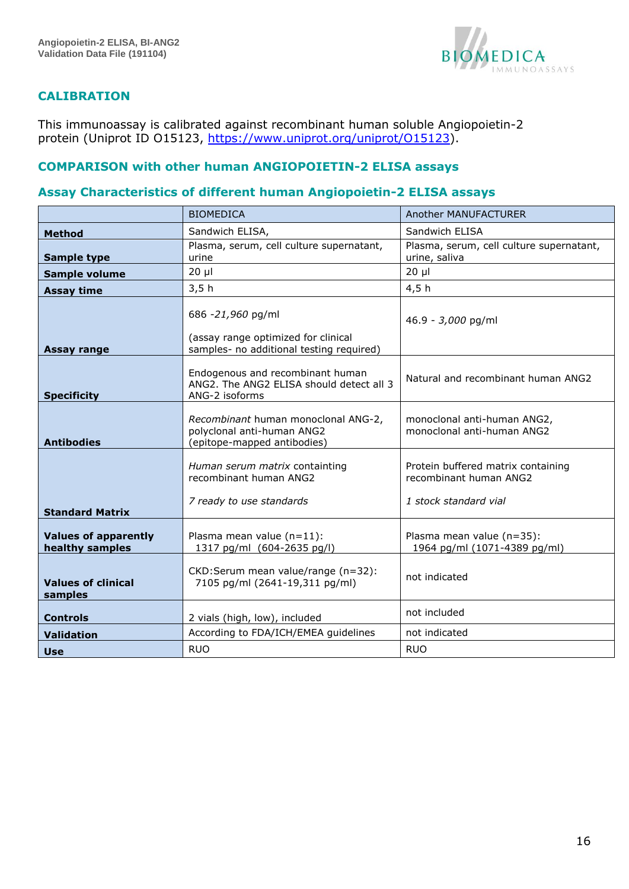

### <span id="page-15-0"></span>**CALIBRATION**

This immunoassay is calibrated against recombinant human soluble Angiopoietin-2 protein (Uniprot ID O15123, [https://www.uniprot.org/uniprot/O15123\)](https://www.uniprot.org/uniprot/O15123).

## **COMPARISON with other human ANGIOPOIETIN-2 ELISA assays**

### <span id="page-15-1"></span>**Assay Characteristics of different human Angiopoietin-2 ELISA assays**

|                                                | <b>BIOMEDICA</b>                                                                                     | Another MANUFACTURER                                                                  |
|------------------------------------------------|------------------------------------------------------------------------------------------------------|---------------------------------------------------------------------------------------|
| <b>Method</b>                                  | Sandwich ELISA,                                                                                      | Sandwich ELISA                                                                        |
| <b>Sample type</b>                             | Plasma, serum, cell culture supernatant,<br>urine                                                    | Plasma, serum, cell culture supernatant,<br>urine, saliva                             |
| Sample volume                                  | $20 \mu$                                                                                             | $20 \mu$                                                                              |
| <b>Assay time</b>                              | 3,5h                                                                                                 | 4,5h                                                                                  |
| Assay range                                    | 686 -21,960 pg/ml<br>(assay range optimized for clinical<br>samples- no additional testing required) | 46.9 - 3,000 pg/ml                                                                    |
| <b>Specificity</b>                             | Endogenous and recombinant human<br>ANG2. The ANG2 ELISA should detect all 3<br>ANG-2 isoforms       | Natural and recombinant human ANG2                                                    |
| <b>Antibodies</b>                              | Recombinant human monoclonal ANG-2,<br>polyclonal anti-human ANG2<br>(epitope-mapped antibodies)     | monoclonal anti-human ANG2,<br>monoclonal anti-human ANG2                             |
|                                                | Human serum matrix containting<br>recombinant human ANG2<br>7 ready to use standards                 | Protein buffered matrix containing<br>recombinant human ANG2<br>1 stock standard vial |
| <b>Standard Matrix</b>                         |                                                                                                      |                                                                                       |
| <b>Values of apparently</b><br>healthy samples | Plasma mean value $(n=11)$ :<br>1317 pg/ml (604-2635 pg/l)                                           | Plasma mean value (n=35):<br>1964 pg/ml (1071-4389 pg/ml)                             |
| <b>Values of clinical</b><br>samples           | CKD: Serum mean value/range (n=32):<br>7105 pg/ml (2641-19,311 pg/ml)                                | not indicated                                                                         |
| <b>Controls</b>                                | 2 vials (high, low), included                                                                        | not included                                                                          |
| <b>Validation</b>                              | According to FDA/ICH/EMEA guidelines                                                                 | not indicated                                                                         |
| <b>Use</b>                                     | <b>RUO</b>                                                                                           | <b>RUO</b>                                                                            |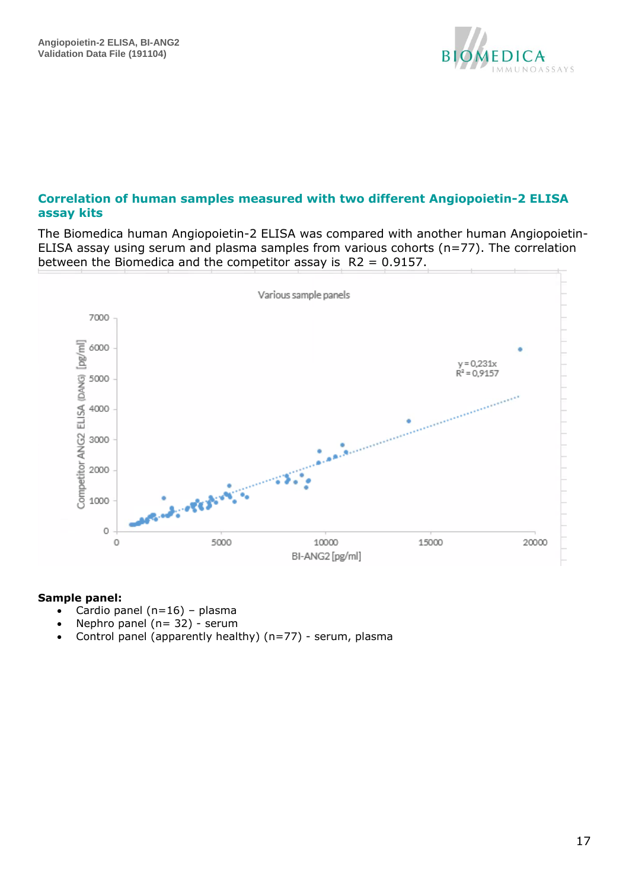

### <span id="page-16-0"></span>**Correlation of human samples measured with two different Angiopoietin-2 ELISA assay kits**

The Biomedica human Angiopoietin-2 ELISA was compared with another human Angiopoietin-ELISA assay using serum and plasma samples from various cohorts (n=77). The correlation between the Biomedica and the competitor assay is  $R2 = 0.9157$ .



#### **Sample panel:**

- Cardio panel  $(n=16)$  plasma
- Nephro panel  $(n= 32)$  serum
- Control panel (apparently healthy) (n=77) serum, plasma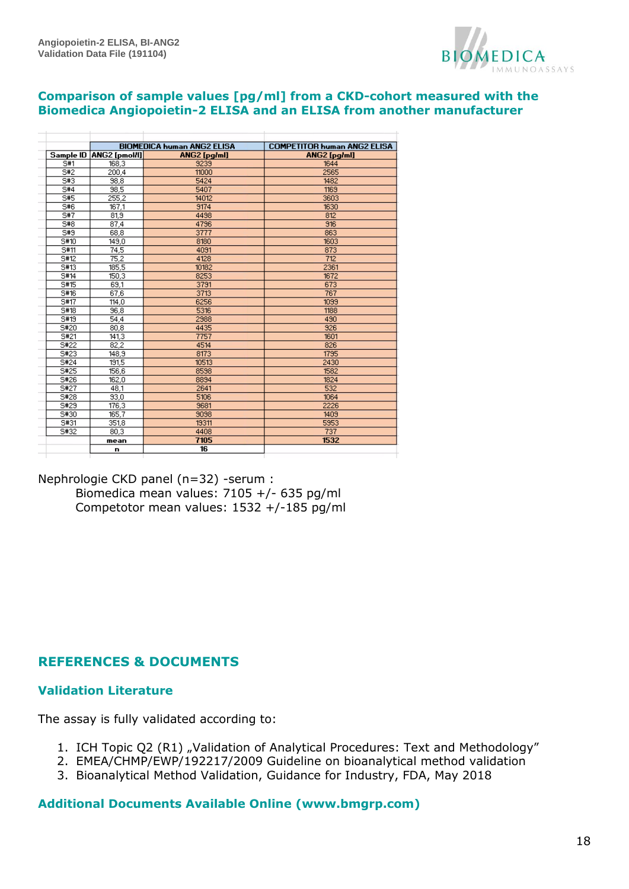

#### **Comparison of sample values [pg/ml] from a CKD-cohort measured with the Biomedica Angiopoietin-2 ELISA and an ELISA from another manufacturer**

|           |               | <b>BIOMEDICA human ANG2 ELISA</b> | <b>COMPETITOR human ANG2 ELISA</b> |  |
|-----------|---------------|-----------------------------------|------------------------------------|--|
| Sample ID | ANG2 [pmol/l] | ANG2 [pg/ml]                      | <b>ANG2</b> [pg/ml]                |  |
| S#1       | 168.3         | 9239                              | 1644                               |  |
| S#2       | 200.4         | 11000                             | 2565                               |  |
| S#3       | 98.8          | 5424                              | 1482                               |  |
| 5#4       | 98,5          | 5407                              | 1169                               |  |
| 5#5       | 255.2         | 14012                             | 3603                               |  |
| S#6       | 167,1         | 9174                              | 1630                               |  |
| S#7       | 81.9          | 4498                              | 812                                |  |
| S#8       | 87.4          | 4796                              | 916                                |  |
| S#9       | 68.8          | 3777                              | 863                                |  |
| S#10      | 149.0         | 8180                              | 1603                               |  |
| 5#11      | 74.5          | 4091                              | 873                                |  |
| S#12      | 75.2          | 4128                              | 712                                |  |
| S#13      | 185.5         | 10182                             | 2361                               |  |
| S#14      | 150.3         | 8253                              | 1672                               |  |
| S#15      | 69.1          | 3791                              | 673                                |  |
| S#16      | 67.6          | 3713                              | 767                                |  |
| S#17      | 114.0         | 6256                              | 1099                               |  |
| S#18      | 96.8          | 5316                              | 1188                               |  |
| S#19      | 54.4          | 2988                              | 490                                |  |
| S#20      | 80.8          | 4435                              | 926                                |  |
| S#21      | 141.3         | 7757                              | 1601                               |  |
| S#22      | 82.2          | 4514                              | 826                                |  |
| S#23      | 148.9         | 8173                              | 1795                               |  |
| S#24      | 191.5         | 10513                             | 2430                               |  |
| S#25      | 156,6         | 8598                              | 1582                               |  |
| S#26      | 162.0         | 8894                              | 1824                               |  |
| S#27      | 48.1          | 2641                              | 532                                |  |
| S#28      | 93.0          | 5106                              | 1064                               |  |
| S#29      | 176.3         | 9681                              | 2226                               |  |
| S#30      | 165.7         | 9098                              | 1409                               |  |
| S#31      | 351.8         | 19311                             | 5953                               |  |
| S#32      | 80.3          | 4408                              | 737                                |  |
|           | mean          | 7105                              | 1532                               |  |
|           | n             | 16                                |                                    |  |

Nephrologie CKD panel (n=32) -serum : Biomedica mean values: 7105 +/- 635 pg/ml Competotor mean values: 1532 +/-185 pg/ml

## <span id="page-17-0"></span>**REFERENCES & DOCUMENTS**

#### **Validation Literature**

The assay is fully validated according to:

- 1. ICH Topic Q2 (R1) "Validation of Analytical Procedures: Text and Methodology"
- 2. EMEA/CHMP/EWP/192217/2009 Guideline on bioanalytical method validation
- 3. Bioanalytical Method Validation, Guidance for Industry, FDA, May 2018

### **Additional Documents Available Online (www.bmgrp.com)**